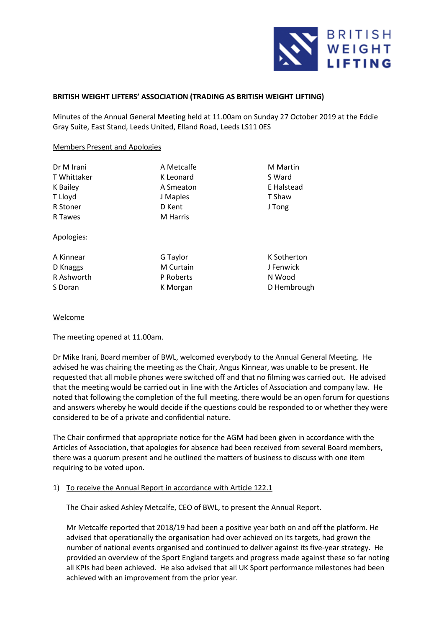

# **BRITISH WEIGHT LIFTERS' ASSOCIATION (TRADING AS BRITISH WEIGHT LIFTING)**

Minutes of the Annual General Meeting held at 11.00am on Sunday 27 October 2019 at the Eddie Gray Suite, East Stand, Leeds United, Elland Road, Leeds LS11 0ES

### Members Present and Apologies

| Dr M Irani  | A Metcalfe       | <b>M</b> Martin |
|-------------|------------------|-----------------|
| T Whittaker | K Leonard        | S Ward          |
| K Bailey    | A Smeaton        | E Halstead      |
| T Lloyd     | J Maples         | T Shaw          |
| R Stoner    | D Kent           | J Tong          |
| R Tawes     | M Harris         |                 |
| Apologies:  |                  |                 |
| A Kinnear   | G Taylor         | K Sotherton     |
| D Knaggs    | <b>M</b> Curtain | J Fenwick       |
| R Ashworth  | P Roberts        | N Wood          |
| S Doran     | K Morgan         | D Hembrough     |
|             |                  |                 |

### Welcome

The meeting opened at 11.00am.

Dr Mike Irani, Board member of BWL, welcomed everybody to the Annual General Meeting. He advised he was chairing the meeting as the Chair, Angus Kinnear, was unable to be present. He requested that all mobile phones were switched off and that no filming was carried out. He advised that the meeting would be carried out in line with the Articles of Association and company law. He noted that following the completion of the full meeting, there would be an open forum for questions and answers whereby he would decide if the questions could be responded to or whether they were considered to be of a private and confidential nature.

The Chair confirmed that appropriate notice for the AGM had been given in accordance with the Articles of Association, that apologies for absence had been received from several Board members, there was a quorum present and he outlined the matters of business to discuss with one item requiring to be voted upon.

## 1) To receive the Annual Report in accordance with Article 122.1

The Chair asked Ashley Metcalfe, CEO of BWL, to present the Annual Report.

Mr Metcalfe reported that 2018/19 had been a positive year both on and off the platform. He advised that operationally the organisation had over achieved on its targets, had grown the number of national events organised and continued to deliver against its five-year strategy. He provided an overview of the Sport England targets and progress made against these so far noting all KPIs had been achieved. He also advised that all UK Sport performance milestones had been achieved with an improvement from the prior year.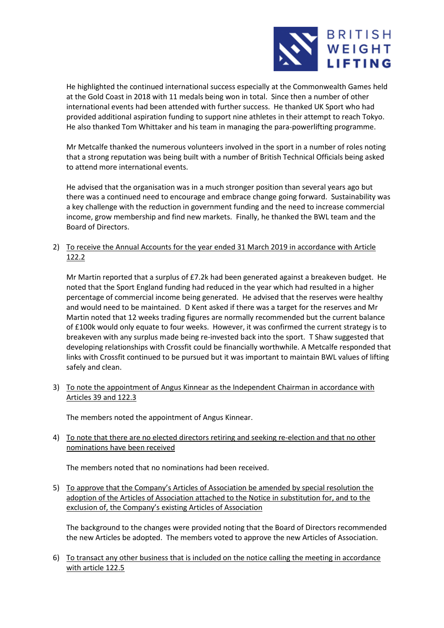

He highlighted the continued international success especially at the Commonwealth Games held at the Gold Coast in 2018 with 11 medals being won in total. Since then a number of other international events had been attended with further success. He thanked UK Sport who had provided additional aspiration funding to support nine athletes in their attempt to reach Tokyo. He also thanked Tom Whittaker and his team in managing the para-powerlifting programme.

Mr Metcalfe thanked the numerous volunteers involved in the sport in a number of roles noting that a strong reputation was being built with a number of British Technical Officials being asked to attend more international events.

He advised that the organisation was in a much stronger position than several years ago but there was a continued need to encourage and embrace change going forward. Sustainability was a key challenge with the reduction in government funding and the need to increase commercial income, grow membership and find new markets. Finally, he thanked the BWL team and the Board of Directors.

2) To receive the Annual Accounts for the year ended 31 March 2019 in accordance with Article 122.2

Mr Martin reported that a surplus of £7.2k had been generated against a breakeven budget. He noted that the Sport England funding had reduced in the year which had resulted in a higher percentage of commercial income being generated. He advised that the reserves were healthy and would need to be maintained. D Kent asked if there was a target for the reserves and Mr Martin noted that 12 weeks trading figures are normally recommended but the current balance of £100k would only equate to four weeks. However, it was confirmed the current strategy is to breakeven with any surplus made being re-invested back into the sport. T Shaw suggested that developing relationships with Crossfit could be financially worthwhile. A Metcalfe responded that links with Crossfit continued to be pursued but it was important to maintain BWL values of lifting safely and clean.

3) To note the appointment of Angus Kinnear as the Independent Chairman in accordance with Articles 39 and 122.3

The members noted the appointment of Angus Kinnear.

4) To note that there are no elected directors retiring and seeking re-election and that no other nominations have been received

The members noted that no nominations had been received.

5) To approve that the Company's Articles of Association be amended by special resolution the adoption of the Articles of Association attached to the Notice in substitution for, and to the exclusion of, the Company's existing Articles of Association

The background to the changes were provided noting that the Board of Directors recommended the new Articles be adopted. The members voted to approve the new Articles of Association.

6) To transact any other business that is included on the notice calling the meeting in accordance with article 122.5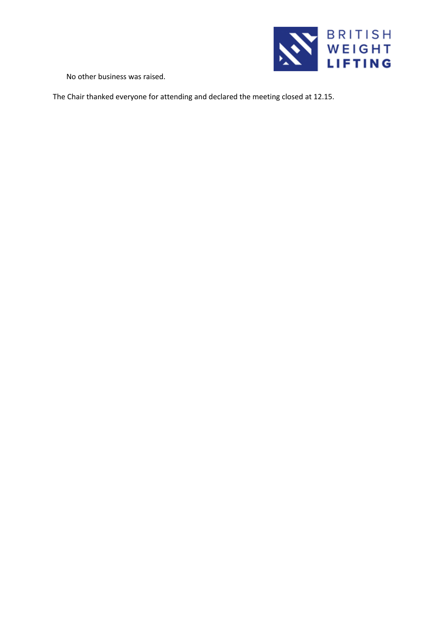

No other business was raised.

The Chair thanked everyone for attending and declared the meeting closed at 12.15.